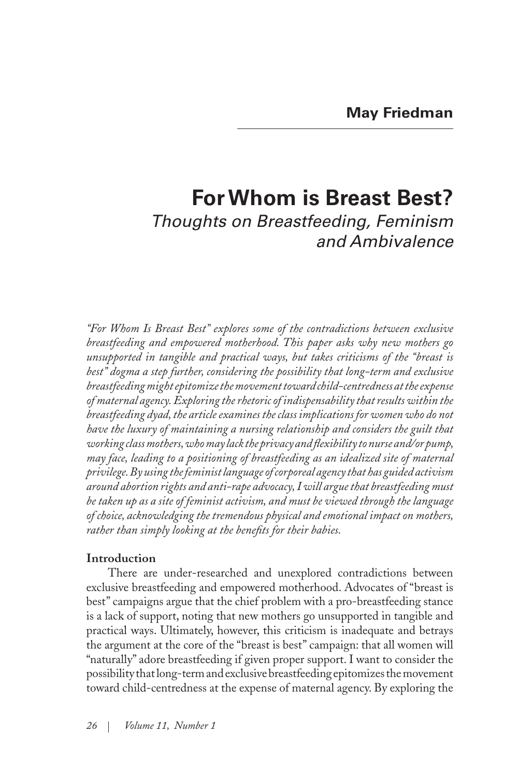# **For Whom is Breast Best?** *Thoughts on Breastfeeding, Feminism and Ambivalence*

*"For Whom Is Breast Best" explores some of the contradictions between exclusive breastfeeding and empowered motherhood. This paper asks why new mothers go unsupported in tangible and practical ways, but takes criticisms of the "breast is best" dogma a step further, considering the possibility that long-term and exclusive breastfeeding might epitomize the movement toward child-centredness at the expense of maternal agency. Exploring the rhetoric of indispensability that results within the breastfeeding dyad, the article examines the class implications for women who do not have the luxury of maintaining a nursing relationship and considers the guilt that working class mothers, who may lack the privacy and flexibility to nurse and/or pump, may face, leading to a positioning of breastfeeding as an idealized site of maternal privilege. By using the feminist language of corporeal agency that has guided activism around abortion rights and anti-rape advocacy, I will argue that breastfeeding must be taken up as a site of feminist activism, and must be viewed through the language of choice, acknowledging the tremendous physical and emotional impact on mothers, rather than simply looking at the benefits for their babies.*

# **Introduction**

There are under-researched and unexplored contradictions between exclusive breastfeeding and empowered motherhood. Advocates of "breast is best" campaigns argue that the chief problem with a pro-breastfeeding stance is a lack of support, noting that new mothers go unsupported in tangible and practical ways. Ultimately, however, this criticism is inadequate and betrays the argument at the core of the "breast is best" campaign: that all women will "naturally" adore breastfeeding if given proper support. I want to consider the possibility that long-term and exclusive breastfeeding epitomizes the movement toward child-centredness at the expense of maternal agency. By exploring the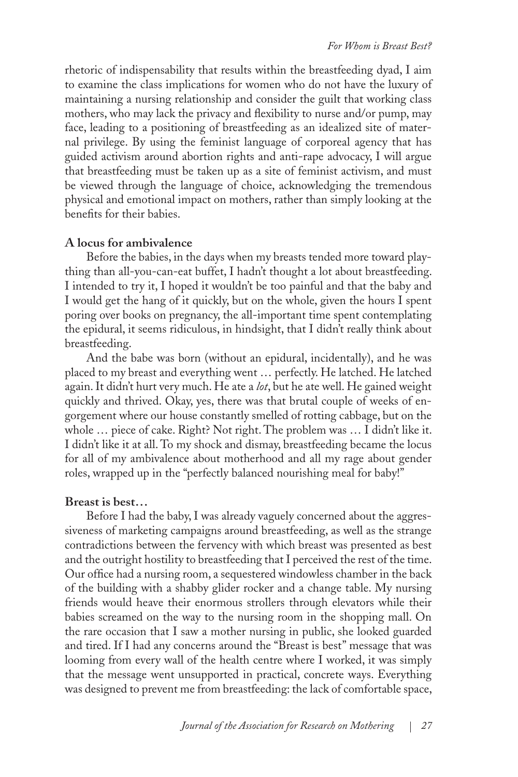rhetoric of indispensability that results within the breastfeeding dyad, I aim to examine the class implications for women who do not have the luxury of maintaining a nursing relationship and consider the guilt that working class mothers, who may lack the privacy and flexibility to nurse and/or pump, may face, leading to a positioning of breastfeeding as an idealized site of maternal privilege. By using the feminist language of corporeal agency that has guided activism around abortion rights and anti-rape advocacy, I will argue that breastfeeding must be taken up as a site of feminist activism, and must be viewed through the language of choice, acknowledging the tremendous physical and emotional impact on mothers, rather than simply looking at the benefits for their babies.

## **A locus for ambivalence**

Before the babies, in the days when my breasts tended more toward plaything than all-you-can-eat buffet, I hadn't thought a lot about breastfeeding. I intended to try it, I hoped it wouldn't be too painful and that the baby and I would get the hang of it quickly, but on the whole, given the hours I spent poring over books on pregnancy, the all-important time spent contemplating the epidural, it seems ridiculous, in hindsight, that I didn't really think about breastfeeding.

And the babe was born (without an epidural, incidentally), and he was placed to my breast and everything went … perfectly. He latched. He latched again. It didn't hurt very much. He ate a *lot*, but he ate well. He gained weight quickly and thrived. Okay, yes, there was that brutal couple of weeks of engorgement where our house constantly smelled of rotting cabbage, but on the whole … piece of cake. Right? Not right. The problem was … I didn't like it. I didn't like it at all. To my shock and dismay, breastfeeding became the locus for all of my ambivalence about motherhood and all my rage about gender roles, wrapped up in the "perfectly balanced nourishing meal for baby!"

#### **Breast is best…**

Before I had the baby, I was already vaguely concerned about the aggressiveness of marketing campaigns around breastfeeding, as well as the strange contradictions between the fervency with which breast was presented as best and the outright hostility to breastfeeding that I perceived the rest of the time. Our office had a nursing room, a sequestered windowless chamber in the back of the building with a shabby glider rocker and a change table. My nursing friends would heave their enormous strollers through elevators while their babies screamed on the way to the nursing room in the shopping mall. On the rare occasion that I saw a mother nursing in public, she looked guarded and tired. If I had any concerns around the "Breast is best" message that was looming from every wall of the health centre where I worked, it was simply that the message went unsupported in practical, concrete ways. Everything was designed to prevent me from breastfeeding: the lack of comfortable space,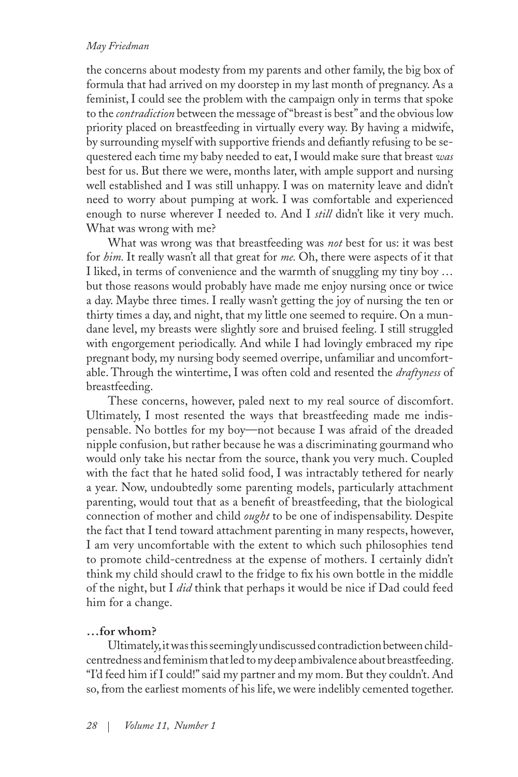the concerns about modesty from my parents and other family, the big box of formula that had arrived on my doorstep in my last month of pregnancy. As a feminist, I could see the problem with the campaign only in terms that spoke to the *contradiction* between the message of "breast is best" and the obvious low priority placed on breastfeeding in virtually every way. By having a midwife, by surrounding myself with supportive friends and defiantly refusing to be sequestered each time my baby needed to eat, I would make sure that breast *was* best for us. But there we were, months later, with ample support and nursing well established and I was still unhappy. I was on maternity leave and didn't need to worry about pumping at work. I was comfortable and experienced enough to nurse wherever I needed to. And I *still* didn't like it very much. What was wrong with me?

What was wrong was that breastfeeding was *not* best for us: it was best for *him.* It really wasn't all that great for *me.* Oh, there were aspects of it that I liked, in terms of convenience and the warmth of snuggling my tiny boy … but those reasons would probably have made me enjoy nursing once or twice a day. Maybe three times. I really wasn't getting the joy of nursing the ten or thirty times a day, and night, that my little one seemed to require. On a mundane level, my breasts were slightly sore and bruised feeling. I still struggled with engorgement periodically. And while I had lovingly embraced my ripe pregnant body, my nursing body seemed overripe, unfamiliar and uncomfortable. Through the wintertime, I was often cold and resented the *draftyness* of breastfeeding.

These concerns, however, paled next to my real source of discomfort. Ultimately, I most resented the ways that breastfeeding made me indispensable. No bottles for my boy—not because I was afraid of the dreaded nipple confusion, but rather because he was a discriminating gourmand who would only take his nectar from the source, thank you very much. Coupled with the fact that he hated solid food, I was intractably tethered for nearly a year. Now, undoubtedly some parenting models, particularly attachment parenting, would tout that as a benefit of breastfeeding, that the biological connection of mother and child *ought* to be one of indispensability. Despite the fact that I tend toward attachment parenting in many respects, however, I am very uncomfortable with the extent to which such philosophies tend to promote child-centredness at the expense of mothers. I certainly didn't think my child should crawl to the fridge to fix his own bottle in the middle of the night, but I *did* think that perhaps it would be nice if Dad could feed him for a change.

# **…for whom?**

Ultimately, it was this seemingly undiscussed contradiction between childcentredness and feminism that led to my deep ambivalence about breastfeeding. "I'd feed him if I could!" said my partner and my mom. But they couldn't. And so, from the earliest moments of his life, we were indelibly cemented together.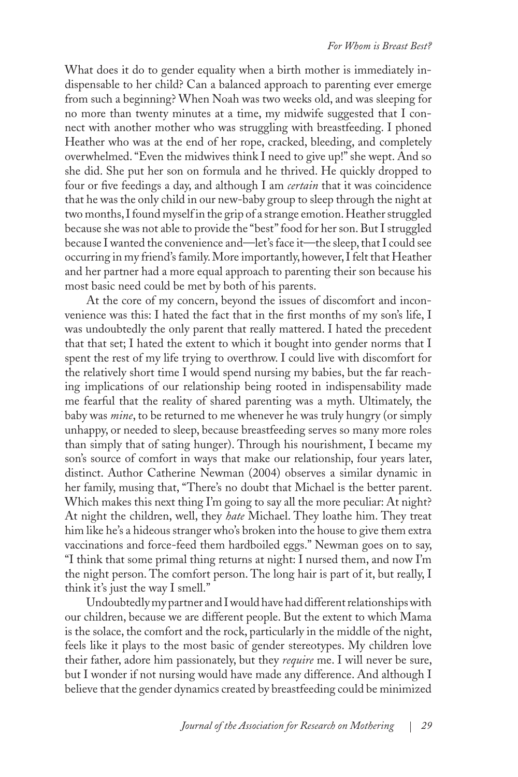What does it do to gender equality when a birth mother is immediately indispensable to her child? Can a balanced approach to parenting ever emerge from such a beginning? When Noah was two weeks old, and was sleeping for no more than twenty minutes at a time, my midwife suggested that I connect with another mother who was struggling with breastfeeding. I phoned Heather who was at the end of her rope, cracked, bleeding, and completely overwhelmed. "Even the midwives think I need to give up!" she wept. And so she did. She put her son on formula and he thrived. He quickly dropped to four or five feedings a day, and although I am *certain* that it was coincidence that he was the only child in our new-baby group to sleep through the night at two months, I found myself in the grip of a strange emotion. Heather struggled because she was not able to provide the "best" food for her son. But I struggled because I wanted the convenience and—let's face it—the sleep, that I could see occurring in my friend's family. More importantly, however, I felt that Heather and her partner had a more equal approach to parenting their son because his most basic need could be met by both of his parents.

At the core of my concern, beyond the issues of discomfort and inconvenience was this: I hated the fact that in the first months of my son's life, I was undoubtedly the only parent that really mattered. I hated the precedent that that set; I hated the extent to which it bought into gender norms that I spent the rest of my life trying to overthrow. I could live with discomfort for the relatively short time I would spend nursing my babies, but the far reaching implications of our relationship being rooted in indispensability made me fearful that the reality of shared parenting was a myth. Ultimately, the baby was *mine*, to be returned to me whenever he was truly hungry (or simply unhappy, or needed to sleep, because breastfeeding serves so many more roles than simply that of sating hunger). Through his nourishment, I became my son's source of comfort in ways that make our relationship, four years later, distinct. Author Catherine Newman (2004) observes a similar dynamic in her family, musing that, "There's no doubt that Michael is the better parent. Which makes this next thing I'm going to say all the more peculiar: At night? At night the children, well, they *hate* Michael. They loathe him. They treat him like he's a hideous stranger who's broken into the house to give them extra vaccinations and force-feed them hardboiled eggs." Newman goes on to say, "I think that some primal thing returns at night: I nursed them, and now I'm the night person. The comfort person. The long hair is part of it, but really, I think it's just the way I smell."

Undoubtedly my partner and I would have had different relationships with our children, because we are different people. But the extent to which Mama is the solace, the comfort and the rock, particularly in the middle of the night, feels like it plays to the most basic of gender stereotypes. My children love their father, adore him passionately, but they *require* me. I will never be sure, but I wonder if not nursing would have made any difference. And although I believe that the gender dynamics created by breastfeeding could be minimized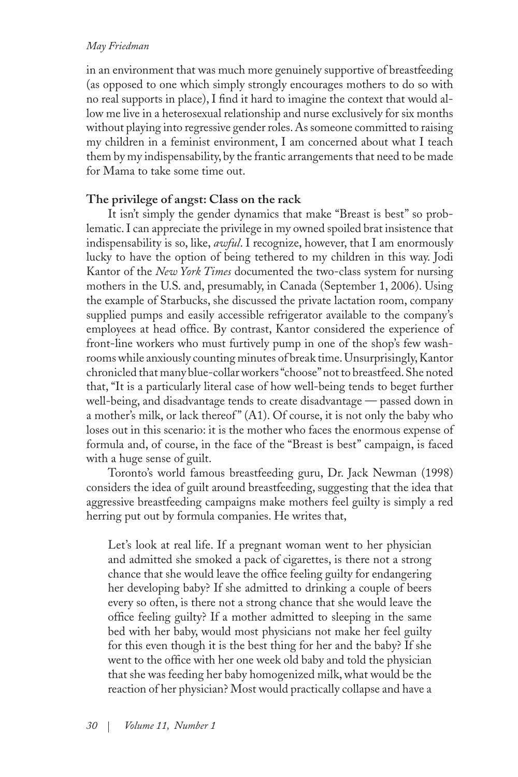in an environment that was much more genuinely supportive of breastfeeding (as opposed to one which simply strongly encourages mothers to do so with no real supports in place), I find it hard to imagine the context that would allow me live in a heterosexual relationship and nurse exclusively for six months without playing into regressive gender roles. As someone committed to raising my children in a feminist environment, I am concerned about what I teach them by my indispensability, by the frantic arrangements that need to be made for Mama to take some time out.

## **The privilege of angst: Class on the rack**

It isn't simply the gender dynamics that make "Breast is best" so problematic. I can appreciate the privilege in my owned spoiled brat insistence that indispensability is so, like, *awful*. I recognize, however, that I am enormously lucky to have the option of being tethered to my children in this way. Jodi Kantor of the *New York Times* documented the two-class system for nursing mothers in the U.S. and, presumably, in Canada (September 1, 2006). Using the example of Starbucks, she discussed the private lactation room, company supplied pumps and easily accessible refrigerator available to the company's employees at head office. By contrast, Kantor considered the experience of front-line workers who must furtively pump in one of the shop's few washrooms while anxiously counting minutes of break time. Unsurprisingly, Kantor chronicled that many blue-collar workers "choose" not to breastfeed. She noted that, "It is a particularly literal case of how well-being tends to beget further well-being, and disadvantage tends to create disadvantage — passed down in a mother's milk, or lack thereof" (A1). Of course, it is not only the baby who loses out in this scenario: it is the mother who faces the enormous expense of formula and, of course, in the face of the "Breast is best" campaign, is faced with a huge sense of guilt.

Toronto's world famous breastfeeding guru, Dr. Jack Newman (1998) considers the idea of guilt around breastfeeding, suggesting that the idea that aggressive breastfeeding campaigns make mothers feel guilty is simply a red herring put out by formula companies. He writes that,

Let's look at real life. If a pregnant woman went to her physician and admitted she smoked a pack of cigarettes, is there not a strong chance that she would leave the office feeling guilty for endangering her developing baby? If she admitted to drinking a couple of beers every so often, is there not a strong chance that she would leave the office feeling guilty? If a mother admitted to sleeping in the same bed with her baby, would most physicians not make her feel guilty for this even though it is the best thing for her and the baby? If she went to the office with her one week old baby and told the physician that she was feeding her baby homogenized milk, what would be the reaction of her physician? Most would practically collapse and have a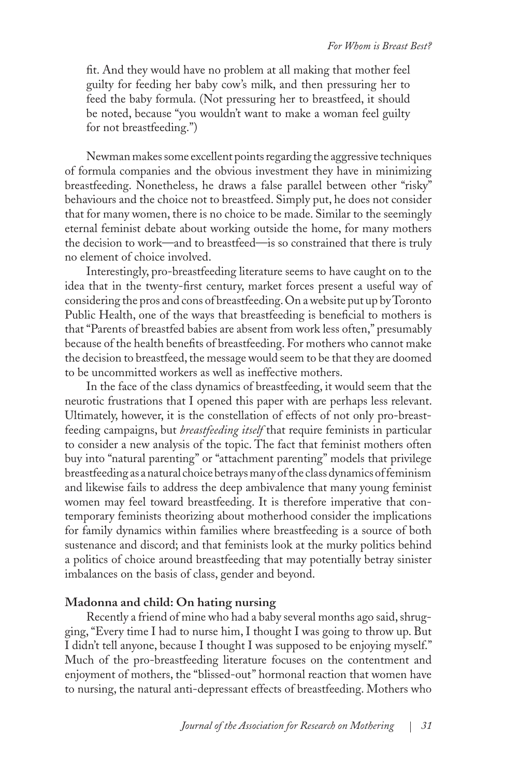fit. And they would have no problem at all making that mother feel guilty for feeding her baby cow's milk, and then pressuring her to feed the baby formula. (Not pressuring her to breastfeed, it should be noted, because "you wouldn't want to make a woman feel guilty for not breastfeeding.")

Newman makes some excellent points regarding the aggressive techniques of formula companies and the obvious investment they have in minimizing breastfeeding. Nonetheless, he draws a false parallel between other "risky" behaviours and the choice not to breastfeed. Simply put, he does not consider that for many women, there is no choice to be made. Similar to the seemingly eternal feminist debate about working outside the home, for many mothers the decision to work—and to breastfeed—is so constrained that there is truly no element of choice involved.

Interestingly, pro-breastfeeding literature seems to have caught on to the idea that in the twenty-first century, market forces present a useful way of considering the pros and cons of breastfeeding. On a website put up by Toronto Public Health, one of the ways that breastfeeding is beneficial to mothers is that "Parents of breastfed babies are absent from work less often," presumably because of the health benefits of breastfeeding. For mothers who cannot make the decision to breastfeed, the message would seem to be that they are doomed to be uncommitted workers as well as ineffective mothers.

In the face of the class dynamics of breastfeeding, it would seem that the neurotic frustrations that I opened this paper with are perhaps less relevant. Ultimately, however, it is the constellation of effects of not only pro-breastfeeding campaigns, but *breastfeeding itself* that require feminists in particular to consider a new analysis of the topic. The fact that feminist mothers often buy into "natural parenting" or "attachment parenting" models that privilege breastfeeding as a natural choice betrays many of the class dynamics of feminism and likewise fails to address the deep ambivalence that many young feminist women may feel toward breastfeeding. It is therefore imperative that contemporary feminists theorizing about motherhood consider the implications for family dynamics within families where breastfeeding is a source of both sustenance and discord; and that feminists look at the murky politics behind a politics of choice around breastfeeding that may potentially betray sinister imbalances on the basis of class, gender and beyond.

#### **Madonna and child: On hating nursing**

Recently a friend of mine who had a baby several months ago said, shrugging, "Every time I had to nurse him, I thought I was going to throw up. But I didn't tell anyone, because I thought I was supposed to be enjoying myself." Much of the pro-breastfeeding literature focuses on the contentment and enjoyment of mothers, the "blissed-out" hormonal reaction that women have to nursing, the natural anti-depressant effects of breastfeeding. Mothers who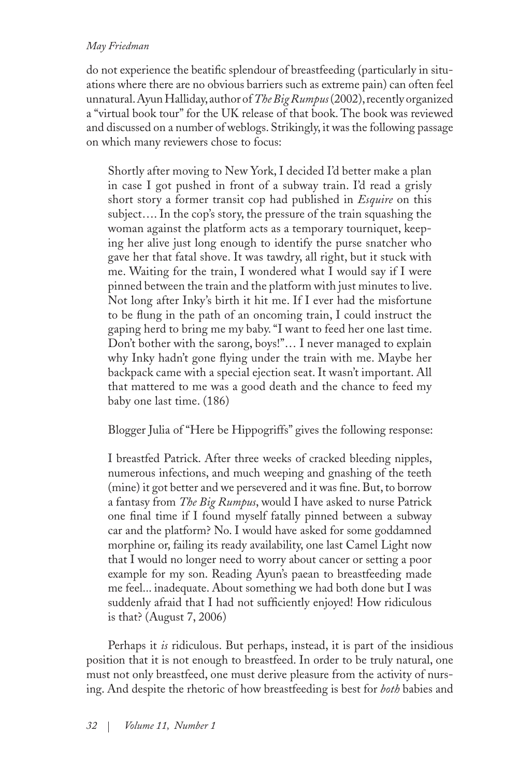do not experience the beatific splendour of breastfeeding (particularly in situations where there are no obvious barriers such as extreme pain) can often feel unnatural. Ayun Halliday, author of *The Big Rumpus* (2002), recently organized a "virtual book tour" for the UK release of that book. The book was reviewed and discussed on a number of weblogs. Strikingly, it was the following passage on which many reviewers chose to focus:

Shortly after moving to New York, I decided I'd better make a plan in case I got pushed in front of a subway train. I'd read a grisly short story a former transit cop had published in *Esquire* on this subject…. In the cop's story, the pressure of the train squashing the woman against the platform acts as a temporary tourniquet, keeping her alive just long enough to identify the purse snatcher who gave her that fatal shove. It was tawdry, all right, but it stuck with me. Waiting for the train, I wondered what I would say if I were pinned between the train and the platform with just minutes to live. Not long after Inky's birth it hit me. If I ever had the misfortune to be flung in the path of an oncoming train, I could instruct the gaping herd to bring me my baby. "I want to feed her one last time. Don't bother with the sarong, boys!"… I never managed to explain why Inky hadn't gone flying under the train with me. Maybe her backpack came with a special ejection seat. It wasn't important. All that mattered to me was a good death and the chance to feed my baby one last time. (186)

Blogger Julia of "Here be Hippogriffs" gives the following response:

I breastfed Patrick. After three weeks of cracked bleeding nipples, numerous infections, and much weeping and gnashing of the teeth (mine) it got better and we persevered and it was fine. But, to borrow a fantasy from *The Big Rumpus*, would I have asked to nurse Patrick one final time if I found myself fatally pinned between a subway car and the platform? No. I would have asked for some goddamned morphine or, failing its ready availability, one last Camel Light now that I would no longer need to worry about cancer or setting a poor example for my son. Reading Ayun's paean to breastfeeding made me feel... inadequate. About something we had both done but I was suddenly afraid that I had not sufficiently enjoyed! How ridiculous is that? (August 7, 2006)

Perhaps it *is* ridiculous. But perhaps, instead, it is part of the insidious position that it is not enough to breastfeed. In order to be truly natural, one must not only breastfeed, one must derive pleasure from the activity of nursing. And despite the rhetoric of how breastfeeding is best for *both* babies and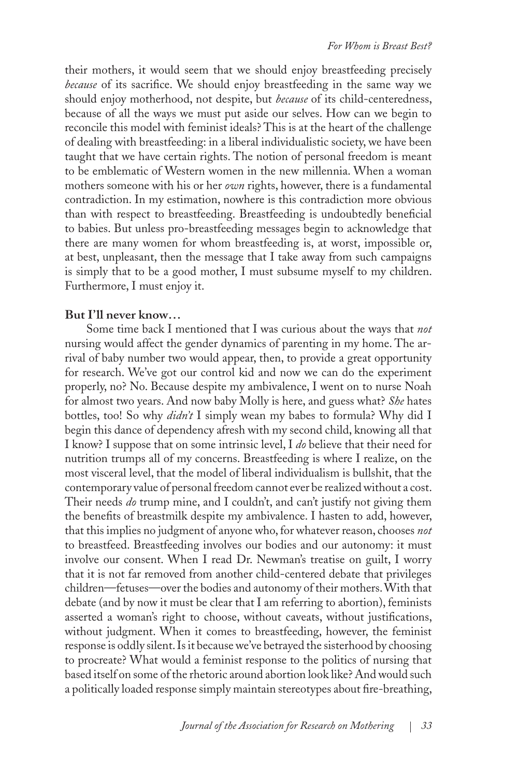their mothers, it would seem that we should enjoy breastfeeding precisely *because* of its sacrifice. We should enjoy breastfeeding in the same way we should enjoy motherhood, not despite, but *because* of its child-centeredness, because of all the ways we must put aside our selves. How can we begin to reconcile this model with feminist ideals? This is at the heart of the challenge of dealing with breastfeeding: in a liberal individualistic society, we have been taught that we have certain rights. The notion of personal freedom is meant to be emblematic of Western women in the new millennia. When a woman mothers someone with his or her *own* rights, however, there is a fundamental contradiction. In my estimation, nowhere is this contradiction more obvious than with respect to breastfeeding. Breastfeeding is undoubtedly beneficial to babies. But unless pro-breastfeeding messages begin to acknowledge that there are many women for whom breastfeeding is, at worst, impossible or, at best, unpleasant, then the message that I take away from such campaigns is simply that to be a good mother, I must subsume myself to my children. Furthermore, I must enjoy it.

#### **But I'll never know…**

Some time back I mentioned that I was curious about the ways that *not* nursing would affect the gender dynamics of parenting in my home. The arrival of baby number two would appear, then, to provide a great opportunity for research. We've got our control kid and now we can do the experiment properly, no? No. Because despite my ambivalence, I went on to nurse Noah for almost two years. And now baby Molly is here, and guess what? *She* hates bottles, too! So why *didn't* I simply wean my babes to formula? Why did I begin this dance of dependency afresh with my second child, knowing all that I know? I suppose that on some intrinsic level, I *do* believe that their need for nutrition trumps all of my concerns. Breastfeeding is where I realize, on the most visceral level, that the model of liberal individualism is bullshit, that the contemporary value of personal freedom cannot ever be realized without a cost. Their needs *do* trump mine, and I couldn't, and can't justify not giving them the benefits of breastmilk despite my ambivalence. I hasten to add, however, that this implies no judgment of anyone who, for whatever reason, chooses *not* to breastfeed. Breastfeeding involves our bodies and our autonomy: it must involve our consent. When I read Dr. Newman's treatise on guilt, I worry that it is not far removed from another child-centered debate that privileges children—fetuses—over the bodies and autonomy of their mothers. With that debate (and by now it must be clear that I am referring to abortion), feminists asserted a woman's right to choose, without caveats, without justifications, without judgment. When it comes to breastfeeding, however, the feminist response is oddly silent. Is it because we've betrayed the sisterhood by choosing to procreate? What would a feminist response to the politics of nursing that based itself on some of the rhetoric around abortion look like? And would such a politically loaded response simply maintain stereotypes about fire-breathing,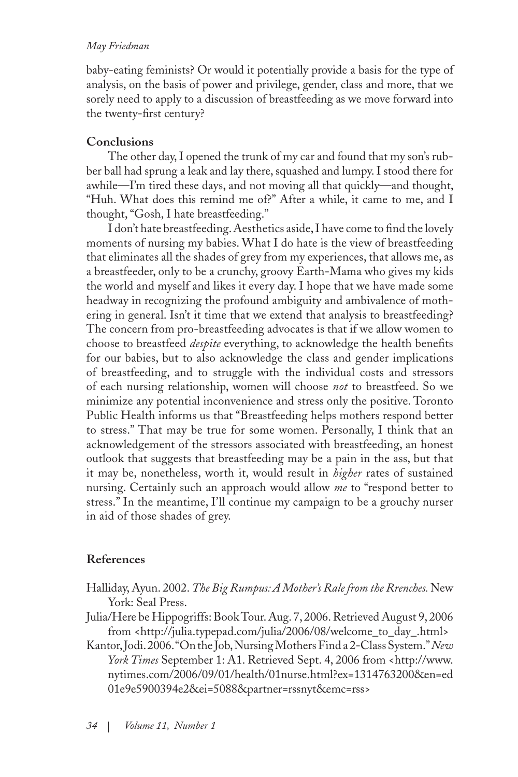baby-eating feminists? Or would it potentially provide a basis for the type of analysis, on the basis of power and privilege, gender, class and more, that we sorely need to apply to a discussion of breastfeeding as we move forward into the twenty-first century?

# **Conclusions**

The other day, I opened the trunk of my car and found that my son's rubber ball had sprung a leak and lay there, squashed and lumpy. I stood there for awhile—I'm tired these days, and not moving all that quickly—and thought, "Huh. What does this remind me of?" After a while, it came to me, and I thought, "Gosh, I hate breastfeeding."

I don't hate breastfeeding. Aesthetics aside, I have come to find the lovely moments of nursing my babies. What I do hate is the view of breastfeeding that eliminates all the shades of grey from my experiences, that allows me, as a breastfeeder, only to be a crunchy, groovy Earth-Mama who gives my kids the world and myself and likes it every day. I hope that we have made some headway in recognizing the profound ambiguity and ambivalence of mothering in general. Isn't it time that we extend that analysis to breastfeeding? The concern from pro-breastfeeding advocates is that if we allow women to choose to breastfeed *despite* everything, to acknowledge the health benefits for our babies, but to also acknowledge the class and gender implications of breastfeeding, and to struggle with the individual costs and stressors of each nursing relationship, women will choose *not* to breastfeed. So we minimize any potential inconvenience and stress only the positive. Toronto Public Health informs us that "Breastfeeding helps mothers respond better to stress." That may be true for some women. Personally, I think that an acknowledgement of the stressors associated with breastfeeding, an honest outlook that suggests that breastfeeding may be a pain in the ass, but that it may be, nonetheless, worth it, would result in *higher* rates of sustained nursing. Certainly such an approach would allow *me* to "respond better to stress." In the meantime, I'll continue my campaign to be a grouchy nurser in aid of those shades of grey.

# **References**

- Halliday, Ayun. 2002. *The Big Rumpus: A Mother's Rale from the Rrenches.* New York: Seal Press.
- Julia/Here be Hippogriffs: Book Tour. Aug. 7, 2006. Retrieved August 9, 2006 from <http://julia.typepad.com/julia/2006/08/welcome\_to\_day\_.html>
- Kantor, Jodi. 2006. "On the Job, Nursing Mothers Find a 2-Class System." *New*  York Times September 1: A1. Retrieved Sept. 4, 2006 from <http://www. nytimes.com/2006/09/01/health/01nurse.html?ex=1314763200&en=ed 01e9e5900394e2&ei=5088&partner=rssnyt&emc=rss>